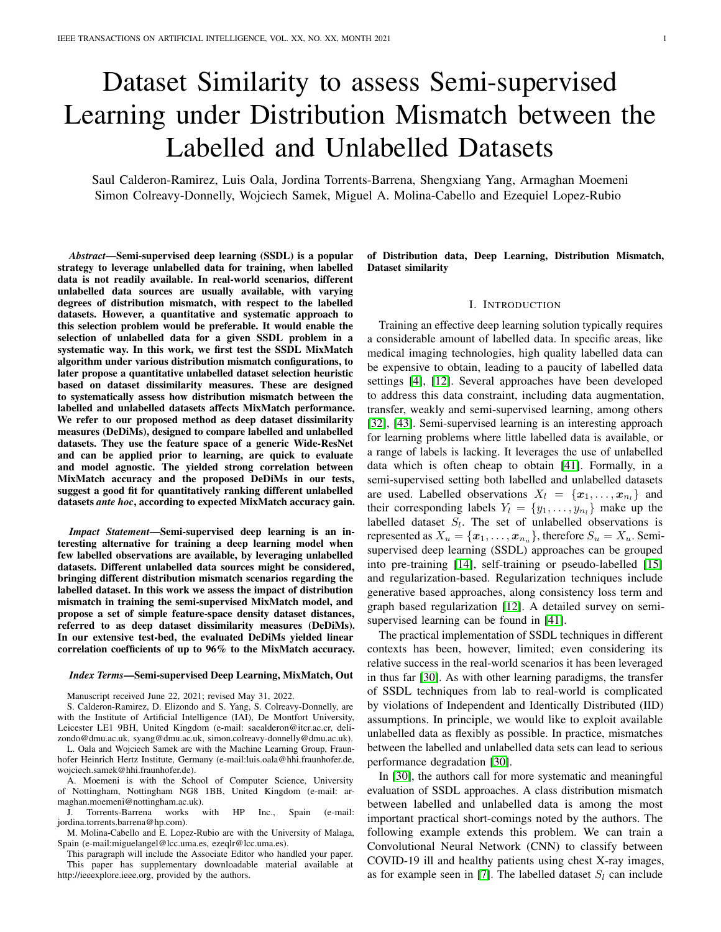# Dataset Similarity to assess Semi-supervised Learning under Distribution Mismatch between the Labelled and Unlabelled Datasets

Saul Calderon-Ramirez, Luis Oala, Jordina Torrents-Barrena, Shengxiang Yang, Armaghan Moemeni Simon Colreavy-Donnelly, Wojciech Samek, Miguel A. Molina-Cabello and Ezequiel Lopez-Rubio

*Abstract*—Semi-supervised deep learning (SSDL) is a popular strategy to leverage unlabelled data for training, when labelled data is not readily available. In real-world scenarios, different unlabelled data sources are usually available, with varying degrees of distribution mismatch, with respect to the labelled datasets. However, a quantitative and systematic approach to this selection problem would be preferable. It would enable the selection of unlabelled data for a given SSDL problem in a systematic way. In this work, we first test the SSDL MixMatch algorithm under various distribution mismatch configurations, to later propose a quantitative unlabelled dataset selection heuristic based on dataset dissimilarity measures. These are designed to systematically assess how distribution mismatch between the labelled and unlabelled datasets affects MixMatch performance. We refer to our proposed method as deep dataset dissimilarity measures (DeDiMs), designed to compare labelled and unlabelled datasets. They use the feature space of a generic Wide-ResNet and can be applied prior to learning, are quick to evaluate and model agnostic. The yielded strong correlation between MixMatch accuracy and the proposed DeDiMs in our tests, suggest a good fit for quantitatively ranking different unlabelled datasets *ante hoc*, according to expected MixMatch accuracy gain.

*Impact Statement*—Semi-supervised deep learning is an interesting alternative for training a deep learning model when few labelled observations are available, by leveraging unlabelled datasets. Different unlabelled data sources might be considered, bringing different distribution mismatch scenarios regarding the labelled dataset. In this work we assess the impact of distribution mismatch in training the semi-supervised MixMatch model, and propose a set of simple feature-space density dataset distances, referred to as deep dataset dissimilarity measures (DeDiMs). In our extensive test-bed, the evaluated DeDiMs yielded linear correlation coefficients of up to 96% to the MixMatch accuracy.

#### *Index Terms*—Semi-supervised Deep Learning, MixMatch, Out

Manuscript received June 22, 2021; revised May 31, 2022.

S. Calderon-Ramirez, D. Elizondo and S. Yang, S. Colreavy-Donnelly, are with the Institute of Artificial Intelligence (IAI), De Montfort University, Leicester LE1 9BH, United Kingdom (e-mail: sacalderon@itcr.ac.cr, delizondo@dmu.ac.uk, syang@dmu.ac.uk, simon.colreavy-donnelly@dmu.ac.uk).

L. Oala and Wojciech Samek are with the Machine Learning Group, Fraunhofer Heinrich Hertz Institute, Germany (e-mail:luis.oala@hhi.fraunhofer.de, wojciech.samek@hhi.fraunhofer.de).

A. Moemeni is with the School of Computer Science, University of Nottingham, Nottingham NG8 1BB, United Kingdom (e-mail: armaghan.moemeni@nottingham.ac.uk).

J. Torrents-Barrena works with HP Inc., Spain (e-mail: jordina.torrents.barrena@hp.com).

M. Molina-Cabello and E. Lopez-Rubio are with the University of Malaga, Spain (e-mail:miguelangel@lcc.uma.es, ezeqlr@lcc.uma.es).

This paragraph will include the Associate Editor who handled your paper. This paper has supplementary downloadable material available at http://ieeexplore.ieee.org, provided by the authors.

of Distribution data, Deep Learning, Distribution Mismatch, Dataset similarity

#### I. INTRODUCTION

Training an effective deep learning solution typically requires a considerable amount of labelled data. In specific areas, like medical imaging technologies, high quality labelled data can be expensive to obtain, leading to a paucity of labelled data settings [\[4\]](#page-8-0), [\[12\]](#page-9-0). Several approaches have been developed to address this data constraint, including data augmentation, transfer, weakly and semi-supervised learning, among others [\[32\]](#page-9-1), [\[43\]](#page-9-2). Semi-supervised learning is an interesting approach for learning problems where little labelled data is available, or a range of labels is lacking. It leverages the use of unlabelled data which is often cheap to obtain [\[41\]](#page-9-3). Formally, in a semi-supervised setting both labelled and unlabelled datasets are used. Labelled observations  $X_l = \{x_1, \ldots, x_{n_l}\}\$  and their corresponding labels  $Y_l = \{y_1, \ldots, y_{n_l}\}\$  make up the labelled dataset  $S_l$ . The set of unlabelled observations is represented as  $X_u = \{x_1, \ldots, x_{n_u}\}\,$ , therefore  $S_u = X_u$ . Semisupervised deep learning (SSDL) approaches can be grouped into pre-training [\[14\]](#page-9-4), self-training or pseudo-labelled [\[15\]](#page-9-5) and regularization-based. Regularization techniques include generative based approaches, along consistency loss term and graph based regularization [\[12\]](#page-9-0). A detailed survey on semisupervised learning can be found in [\[41\]](#page-9-3).

The practical implementation of SSDL techniques in different contexts has been, however, limited; even considering its relative success in the real-world scenarios it has been leveraged in thus far [\[30\]](#page-9-6). As with other learning paradigms, the transfer of SSDL techniques from lab to real-world is complicated by violations of Independent and Identically Distributed (IID) assumptions. In principle, we would like to exploit available unlabelled data as flexibly as possible. In practice, mismatches between the labelled and unlabelled data sets can lead to serious performance degradation [\[30\]](#page-9-6).

In [\[30\]](#page-9-6), the authors call for more systematic and meaningful evaluation of SSDL approaches. A class distribution mismatch between labelled and unlabelled data is among the most important practical short-comings noted by the authors. The following example extends this problem. We can train a Convolutional Neural Network (CNN) to classify between COVID-19 ill and healthy patients using chest X-ray images, as for example seen in [\[7\]](#page-9-7). The labelled dataset  $S_l$  can include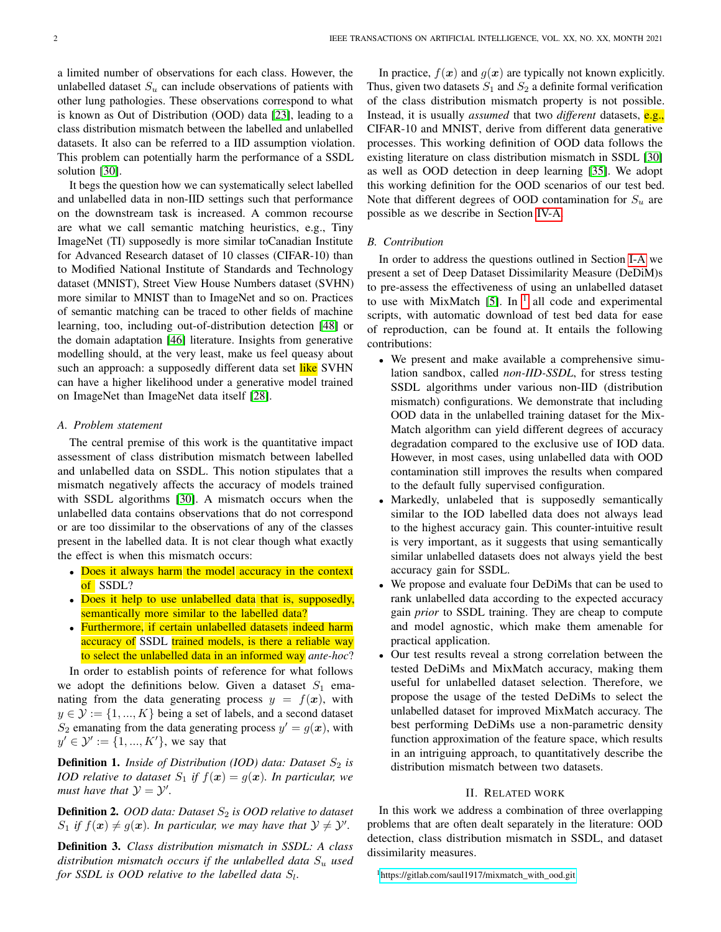a limited number of observations for each class. However, the unlabelled dataset  $S_u$  can include observations of patients with other lung pathologies. These observations correspond to what is known as Out of Distribution (OOD) data [\[23\]](#page-9-8), leading to a class distribution mismatch between the labelled and unlabelled datasets. It also can be referred to a IID assumption violation. This problem can potentially harm the performance of a SSDL solution [\[30\]](#page-9-6).

It begs the question how we can systematically select labelled and unlabelled data in non-IID settings such that performance on the downstream task is increased. A common recourse are what we call semantic matching heuristics, e.g., Tiny ImageNet (TI) supposedly is more similar toCanadian Institute for Advanced Research dataset of 10 classes (CIFAR-10) than to Modified National Institute of Standards and Technology dataset (MNIST), Street View House Numbers dataset (SVHN) more similar to MNIST than to ImageNet and so on. Practices of semantic matching can be traced to other fields of machine learning, too, including out-of-distribution detection [\[48\]](#page-9-9) or the domain adaptation [\[46\]](#page-9-10) literature. Insights from generative modelling should, at the very least, make us feel queasy about such an approach: a supposedly different data set like SVHN can have a higher likelihood under a generative model trained on ImageNet than ImageNet data itself [\[28\]](#page-9-11).

# <span id="page-1-0"></span>*A. Problem statement*

The central premise of this work is the quantitative impact assessment of class distribution mismatch between labelled and unlabelled data on SSDL. This notion stipulates that a mismatch negatively affects the accuracy of models trained with SSDL algorithms [\[30\]](#page-9-6). A mismatch occurs when the unlabelled data contains observations that do not correspond or are too dissimilar to the observations of any of the classes present in the labelled data. It is not clear though what exactly the effect is when this mismatch occurs:

- Does it always harm the model accuracy in the context of SSDL?
- Does it help to use unlabelled data that is, supposedly, semantically more similar to the labelled data?
- Furthermore, if certain unlabelled datasets indeed harm accuracy of SSDL trained models, is there a reliable way to select the unlabelled data in an informed way *ante-hoc*?

In order to establish points of reference for what follows we adopt the definitions below. Given a dataset  $S_1$  emanating from the data generating process  $y = f(x)$ , with  $y \in \mathcal{Y} := \{1, ..., K\}$  being a set of labels, and a second dataset  $S_2$  emanating from the data generating process  $y' = g(x)$ , with  $y' \in \mathcal{Y}' := \{1, ..., K'\}$ , we say that

**Definition 1.** *Inside of Distribution (IOD) data: Dataset*  $S_2$  *is IOD relative to dataset*  $S_1$  *if*  $f(x) = g(x)$ *. In particular, we must have that*  $\mathcal{Y} = \mathcal{Y}'$ .

Definition 2. *OOD data: Dataset*  $S_2$  *is OOD relative to dataset*  $S_1$  *if*  $f(\boldsymbol{x}) \neq g(\boldsymbol{x})$ *. In particular, we may have that*  $\mathcal{Y} \neq \mathcal{Y}'$ *.* 

Definition 3. *Class distribution mismatch in SSDL: A class distribution mismatch occurs if the unlabelled data*  $S_u$  *used for SSDL is OOD relative to the labelled data*  $S_l$ .

In practice,  $f(x)$  and  $g(x)$  are typically not known explicitly. Thus, given two datasets  $S_1$  and  $S_2$  a definite formal verification of the class distribution mismatch property is not possible. Instead, it is usually *assumed* that two *different* datasets, e.g., CIFAR-10 and MNIST, derive from different data generative processes. This working definition of OOD data follows the existing literature on class distribution mismatch in SSDL [\[30\]](#page-9-6) as well as OOD detection in deep learning [\[35\]](#page-9-12). We adopt this working definition for the OOD scenarios of our test bed. Note that different degrees of OOD contamination for  $S_u$  are possible as we describe in Section [IV-A.](#page-4-0)

#### *B. Contribution*

In order to address the questions outlined in Section [I-A](#page-1-0) we present a set of Deep Dataset Dissimilarity Measure (DeDiM)s to pre-assess the effectiveness of using an unlabelled dataset to use with MixMatch [\[5\]](#page-9-13). In  $<sup>1</sup>$  $<sup>1</sup>$  $<sup>1</sup>$  all code and experimental</sup> scripts, with automatic download of test bed data for ease of reproduction, can be found at. It entails the following contributions:

- We present and make available a comprehensive simulation sandbox, called *non-IID-SSDL*, for stress testing SSDL algorithms under various non-IID (distribution mismatch) configurations. We demonstrate that including OOD data in the unlabelled training dataset for the Mix-Match algorithm can yield different degrees of accuracy degradation compared to the exclusive use of IOD data. However, in most cases, using unlabelled data with OOD contamination still improves the results when compared to the default fully supervised configuration.
- Markedly, unlabeled that is supposedly semantically similar to the IOD labelled data does not always lead to the highest accuracy gain. This counter-intuitive result is very important, as it suggests that using semantically similar unlabelled datasets does not always yield the best accuracy gain for SSDL.
- We propose and evaluate four DeDiMs that can be used to rank unlabelled data according to the expected accuracy gain *prior* to SSDL training. They are cheap to compute and model agnostic, which make them amenable for practical application.
- Our test results reveal a strong correlation between the tested DeDiMs and MixMatch accuracy, making them useful for unlabelled dataset selection. Therefore, we propose the usage of the tested DeDiMs to select the unlabelled dataset for improved MixMatch accuracy. The best performing DeDiMs use a non-parametric density function approximation of the feature space, which results in an intriguing approach, to quantitatively describe the distribution mismatch between two datasets.

#### II. RELATED WORK

<span id="page-1-2"></span>In this work we address a combination of three overlapping problems that are often dealt separately in the literature: OOD detection, class distribution mismatch in SSDL, and dataset dissimilarity measures.

<span id="page-1-1"></span><sup>1</sup>[https://gitlab.com/saul1917/mixmatch\\_with\\_ood.git](https://gitlab.com/saul1917/mixmatch_with_ood.git)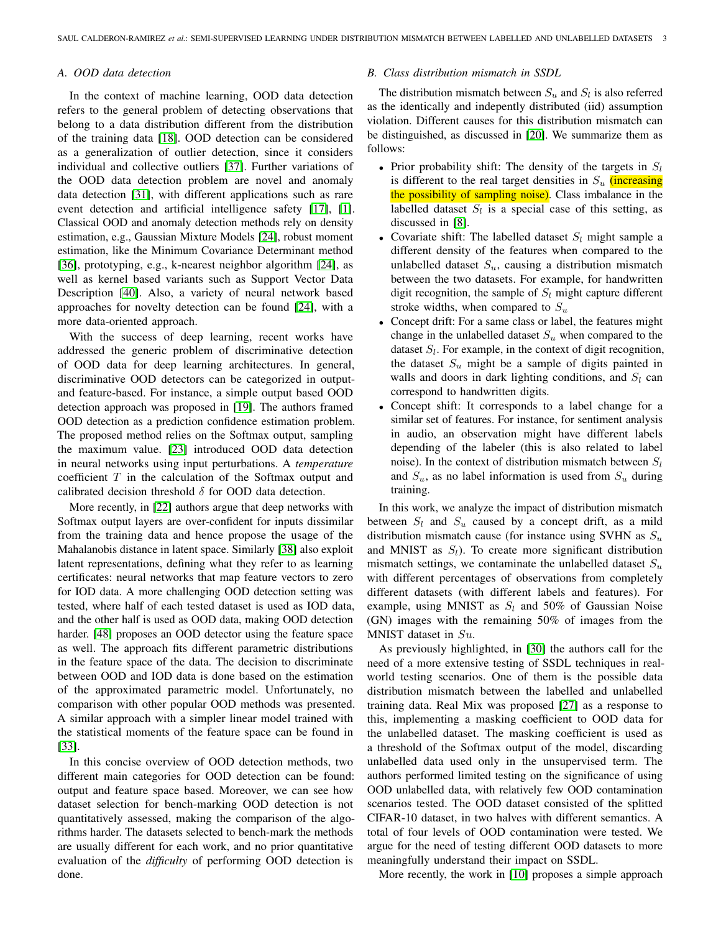#### *A. OOD data detection*

In the context of machine learning, OOD data detection refers to the general problem of detecting observations that belong to a data distribution different from the distribution of the training data [\[18\]](#page-9-14). OOD detection can be considered as a generalization of outlier detection, since it considers individual and collective outliers [\[37\]](#page-9-15). Further variations of the OOD data detection problem are novel and anomaly data detection [\[31\]](#page-9-16), with different applications such as rare event detection and artificial intelligence safety [\[17\]](#page-9-17), [\[1\]](#page-8-1). Classical OOD and anomaly detection methods rely on density estimation, e.g., Gaussian Mixture Models [\[24\]](#page-9-18), robust moment estimation, like the Minimum Covariance Determinant method [\[36\]](#page-9-19), prototyping, e.g., k-nearest neighbor algorithm [\[24\]](#page-9-18), as well as kernel based variants such as Support Vector Data Description [\[40\]](#page-9-20). Also, a variety of neural network based approaches for novelty detection can be found [\[24\]](#page-9-18), with a more data-oriented approach.

With the success of deep learning, recent works have addressed the generic problem of discriminative detection of OOD data for deep learning architectures. In general, discriminative OOD detectors can be categorized in outputand feature-based. For instance, a simple output based OOD detection approach was proposed in [\[19\]](#page-9-21). The authors framed OOD detection as a prediction confidence estimation problem. The proposed method relies on the Softmax output, sampling the maximum value. [\[23\]](#page-9-8) introduced OOD data detection in neural networks using input perturbations. A *temperature* coefficient  $T$  in the calculation of the Softmax output and calibrated decision threshold  $\delta$  for OOD data detection.

More recently, in [\[22\]](#page-9-22) authors argue that deep networks with Softmax output layers are over-confident for inputs dissimilar from the training data and hence propose the usage of the Mahalanobis distance in latent space. Similarly [\[38\]](#page-9-23) also exploit latent representations, defining what they refer to as learning certificates: neural networks that map feature vectors to zero for IOD data. A more challenging OOD detection setting was tested, where half of each tested dataset is used as IOD data, and the other half is used as OOD data, making OOD detection harder. [\[48\]](#page-9-9) proposes an OOD detector using the feature space as well. The approach fits different parametric distributions in the feature space of the data. The decision to discriminate between OOD and IOD data is done based on the estimation of the approximated parametric model. Unfortunately, no comparison with other popular OOD methods was presented. A similar approach with a simpler linear model trained with the statistical moments of the feature space can be found in [\[33\]](#page-9-24).

In this concise overview of OOD detection methods, two different main categories for OOD detection can be found: output and feature space based. Moreover, we can see how dataset selection for bench-marking OOD detection is not quantitatively assessed, making the comparison of the algorithms harder. The datasets selected to bench-mark the methods are usually different for each work, and no prior quantitative evaluation of the *difficulty* of performing OOD detection is done.

#### *B. Class distribution mismatch in SSDL*

The distribution mismatch between  $S_u$  and  $S_l$  is also referred as the identically and indepently distributed (iid) assumption violation. Different causes for this distribution mismatch can be distinguished, as discussed in [\[20\]](#page-9-25). We summarize them as follows:

- Prior probability shift: The density of the targets in  $S_l$ is different to the real target densities in  $S_u$  (increasing the possibility of sampling noise). Class imbalance in the labelled dataset  $S_l$  is a special case of this setting, as discussed in [\[8\]](#page-9-26).
- Covariate shift: The labelled dataset  $S_l$  might sample a different density of the features when compared to the unlabelled dataset  $S_u$ , causing a distribution mismatch between the two datasets. For example, for handwritten digit recognition, the sample of  $S_l$  might capture different stroke widths, when compared to  $S_u$
- Concept drift: For a same class or label, the features might change in the unlabelled dataset  $S_u$  when compared to the dataset  $S_l$ . For example, in the context of digit recognition, the dataset  $S_u$  might be a sample of digits painted in walls and doors in dark lighting conditions, and  $S_l$  can correspond to handwritten digits.
- Concept shift: It corresponds to a label change for a similar set of features. For instance, for sentiment analysis in audio, an observation might have different labels depending of the labeler (this is also related to label noise). In the context of distribution mismatch between  $S_l$ and  $S_u$ , as no label information is used from  $S_u$  during training.

In this work, we analyze the impact of distribution mismatch between  $S_l$  and  $S_u$  caused by a concept drift, as a mild distribution mismatch cause (for instance using SVHN as  $S_u$ and MNIST as  $S_l$ ). To create more significant distribution mismatch settings, we contaminate the unlabelled dataset  $S_u$ with different percentages of observations from completely different datasets (with different labels and features). For example, using MNIST as  $S_l$  and 50% of Gaussian Noise (GN) images with the remaining 50% of images from the MNIST dataset in Su.

As previously highlighted, in [\[30\]](#page-9-6) the authors call for the need of a more extensive testing of SSDL techniques in realworld testing scenarios. One of them is the possible data distribution mismatch between the labelled and unlabelled training data. Real Mix was proposed [\[27\]](#page-9-27) as a response to this, implementing a masking coefficient to OOD data for the unlabelled dataset. The masking coefficient is used as a threshold of the Softmax output of the model, discarding unlabelled data used only in the unsupervised term. The authors performed limited testing on the significance of using OOD unlabelled data, with relatively few OOD contamination scenarios tested. The OOD dataset consisted of the splitted CIFAR-10 dataset, in two halves with different semantics. A total of four levels of OOD contamination were tested. We argue for the need of testing different OOD datasets to more meaningfully understand their impact on SSDL.

More recently, the work in [\[10\]](#page-9-28) proposes a simple approach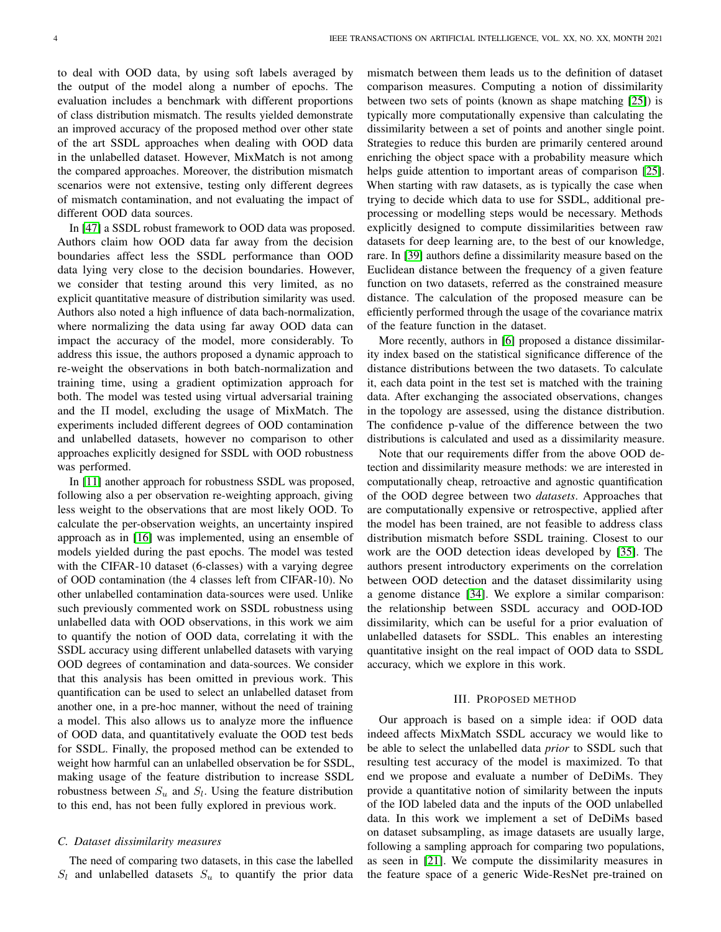to deal with OOD data, by using soft labels averaged by the output of the model along a number of epochs. The evaluation includes a benchmark with different proportions of class distribution mismatch. The results yielded demonstrate an improved accuracy of the proposed method over other state of the art SSDL approaches when dealing with OOD data in the unlabelled dataset. However, MixMatch is not among the compared approaches. Moreover, the distribution mismatch scenarios were not extensive, testing only different degrees of mismatch contamination, and not evaluating the impact of different OOD data sources.

In [\[47\]](#page-9-29) a SSDL robust framework to OOD data was proposed. Authors claim how OOD data far away from the decision boundaries affect less the SSDL performance than OOD data lying very close to the decision boundaries. However, we consider that testing around this very limited, as no explicit quantitative measure of distribution similarity was used. Authors also noted a high influence of data bach-normalization, where normalizing the data using far away OOD data can impact the accuracy of the model, more considerably. To address this issue, the authors proposed a dynamic approach to re-weight the observations in both batch-normalization and training time, using a gradient optimization approach for both. The model was tested using virtual adversarial training and the Π model, excluding the usage of MixMatch. The experiments included different degrees of OOD contamination and unlabelled datasets, however no comparison to other approaches explicitly designed for SSDL with OOD robustness was performed.

In [\[11\]](#page-9-30) another approach for robustness SSDL was proposed, following also a per observation re-weighting approach, giving less weight to the observations that are most likely OOD. To calculate the per-observation weights, an uncertainty inspired approach as in [\[16\]](#page-9-31) was implemented, using an ensemble of models yielded during the past epochs. The model was tested with the CIFAR-10 dataset (6-classes) with a varying degree of OOD contamination (the 4 classes left from CIFAR-10). No other unlabelled contamination data-sources were used. Unlike such previously commented work on SSDL robustness using unlabelled data with OOD observations, in this work we aim to quantify the notion of OOD data, correlating it with the SSDL accuracy using different unlabelled datasets with varying OOD degrees of contamination and data-sources. We consider that this analysis has been omitted in previous work. This quantification can be used to select an unlabelled dataset from another one, in a pre-hoc manner, without the need of training a model. This also allows us to analyze more the influence of OOD data, and quantitatively evaluate the OOD test beds for SSDL. Finally, the proposed method can be extended to weight how harmful can an unlabelled observation be for SSDL, making usage of the feature distribution to increase SSDL robustness between  $S_u$  and  $S_l$ . Using the feature distribution to this end, has not been fully explored in previous work.

# *C. Dataset dissimilarity measures*

The need of comparing two datasets, in this case the labelled  $S_l$  and unlabelled datasets  $S_u$  to quantify the prior data mismatch between them leads us to the definition of dataset comparison measures. Computing a notion of dissimilarity between two sets of points (known as shape matching [\[25\]](#page-9-32)) is typically more computationally expensive than calculating the dissimilarity between a set of points and another single point. Strategies to reduce this burden are primarily centered around enriching the object space with a probability measure which helps guide attention to important areas of comparison [\[25\]](#page-9-32). When starting with raw datasets, as is typically the case when trying to decide which data to use for SSDL, additional preprocessing or modelling steps would be necessary. Methods explicitly designed to compute dissimilarities between raw datasets for deep learning are, to the best of our knowledge, rare. In [\[39\]](#page-9-33) authors define a dissimilarity measure based on the Euclidean distance between the frequency of a given feature function on two datasets, referred as the constrained measure distance. The calculation of the proposed measure can be efficiently performed through the usage of the covariance matrix of the feature function in the dataset.

More recently, authors in [\[6\]](#page-9-34) proposed a distance dissimilarity index based on the statistical significance difference of the distance distributions between the two datasets. To calculate it, each data point in the test set is matched with the training data. After exchanging the associated observations, changes in the topology are assessed, using the distance distribution. The confidence p-value of the difference between the two distributions is calculated and used as a dissimilarity measure.

Note that our requirements differ from the above OOD detection and dissimilarity measure methods: we are interested in computationally cheap, retroactive and agnostic quantification of the OOD degree between two *datasets*. Approaches that are computationally expensive or retrospective, applied after the model has been trained, are not feasible to address class distribution mismatch before SSDL training. Closest to our work are the OOD detection ideas developed by [\[35\]](#page-9-12). The authors present introductory experiments on the correlation between OOD detection and the dataset dissimilarity using a genome distance [\[34\]](#page-9-35). We explore a similar comparison: the relationship between SSDL accuracy and OOD-IOD dissimilarity, which can be useful for a prior evaluation of unlabelled datasets for SSDL. This enables an interesting quantitative insight on the real impact of OOD data to SSDL accuracy, which we explore in this work.

## III. PROPOSED METHOD

<span id="page-3-0"></span>Our approach is based on a simple idea: if OOD data indeed affects MixMatch SSDL accuracy we would like to be able to select the unlabelled data *prior* to SSDL such that resulting test accuracy of the model is maximized. To that end we propose and evaluate a number of DeDiMs. They provide a quantitative notion of similarity between the inputs of the IOD labeled data and the inputs of the OOD unlabelled data. In this work we implement a set of DeDiMs based on dataset subsampling, as image datasets are usually large, following a sampling approach for comparing two populations, as seen in [\[21\]](#page-9-36). We compute the dissimilarity measures in the feature space of a generic Wide-ResNet pre-trained on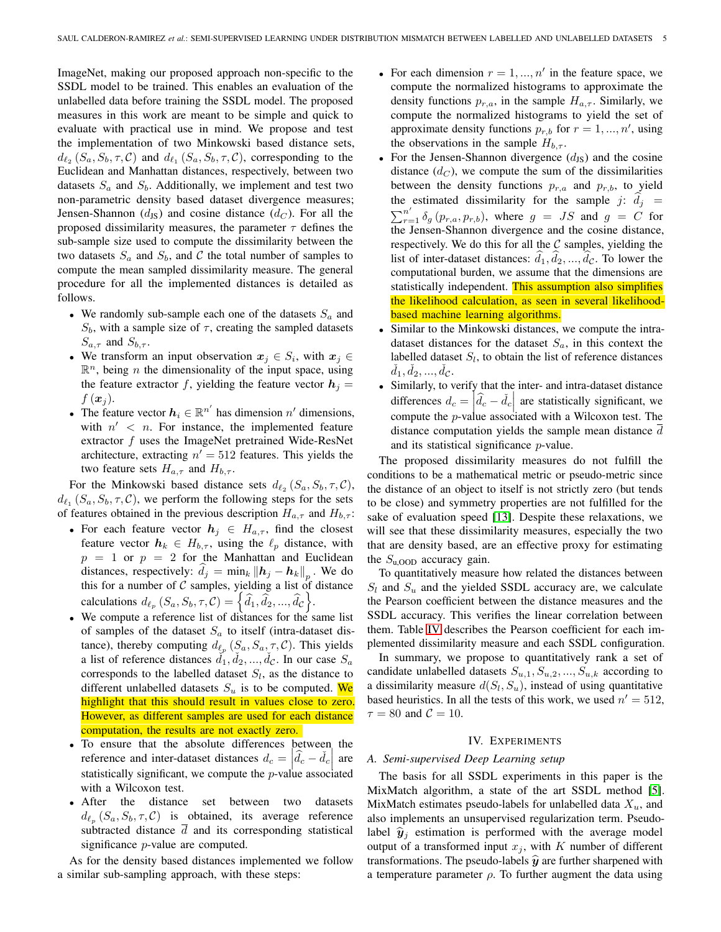ImageNet, making our proposed approach non-specific to the SSDL model to be trained. This enables an evaluation of the unlabelled data before training the SSDL model. The proposed measures in this work are meant to be simple and quick to evaluate with practical use in mind. We propose and test the implementation of two Minkowski based distance sets,  $d_{\ell_2}(S_a, S_b, \tau, C)$  and  $d_{\ell_1}(S_a, S_b, \tau, C)$ , corresponding to the Euclidean and Manhattan distances, respectively, between two datasets  $S_a$  and  $S_b$ . Additionally, we implement and test two non-parametric density based dataset divergence measures; Jensen-Shannon  $(d_{JS})$  and cosine distance  $(d_C)$ . For all the proposed dissimilarity measures, the parameter  $\tau$  defines the sub-sample size used to compute the dissimilarity between the two datasets  $S_a$  and  $S_b$ , and C the total number of samples to compute the mean sampled dissimilarity measure. The general procedure for all the implemented distances is detailed as follows.

- We randomly sub-sample each one of the datasets  $S_a$  and  $S_b$ , with a sample size of  $\tau$ , creating the sampled datasets  $S_{a,\tau}$  and  $S_{b,\tau}$ .
- We transform an input observation  $x_j \in S_i$ , with  $x_j \in$  $\mathbb{R}^n$ , being *n* the dimensionality of the input space, using the feature extractor f, yielding the feature vector  $h_i =$  $f(\boldsymbol{x}_i)$ .
- The feature vector  $h_i \in \mathbb{R}^{n'}$  has dimension  $n'$  dimensions, with  $n' < n$ . For instance, the implemented feature extractor f uses the ImageNet pretrained Wide-ResNet architecture, extracting  $n' = 512$  features. This yields the two feature sets  $H_{a,\tau}$  and  $H_{b,\tau}$ .

For the Minkowski based distance sets  $d_{\ell_2}(S_a, S_b, \tau, C)$ ,  $d_{\ell_1}$  ( $S_a, S_b, \tau, \mathcal{C}$ ), we perform the following steps for the sets of features obtained in the previous description  $H_{a,\tau}$  and  $H_{b,\tau}$ :

- For each feature vector  $h_j \in H_{a,\tau}$ , find the closest feature vector  $h_k \in H_{b,\tau}$ , using the  $\ell_p$  distance, with  $p = 1$  or  $p = 2$  for the Manhattan and Euclidean distances, respectively:  $d_j = \min_k ||h_j - h_k||_p$ . We do this for a number of  $C$  samples, yielding a list of distance calculations  $d_{\ell_p}$   $(S_a, S_b, \tau, C) = \left\{\widehat{d}_1, \widehat{d}_2, ..., \widehat{d}_C\right\}.$
- We compute a reference list of distances for the same list of samples of the dataset  $S_a$  to itself (intra-dataset distance), thereby computing  $d_{\ell_p}$  ( $S_a, S_a, \tau, C$ ). This yields a list of reference distances  $\check{d}_1, \check{d}_2, ..., \check{d}_c$ . In our case  $S_a$ corresponds to the labelled dataset  $S_l$ , as the distance to different unlabelled datasets  $S_u$  is to be computed. We highlight that this should result in values close to zero. However, as different samples are used for each distance computation, the results are not exactly zero.
- To ensure that the absolute differences between the reference and inter-dataset distances  $d_c = \left| \hat{d}_c - \check{d}_c \right|$  are statistically significant, we compute the *p*-value associated with a Wilcoxon test.
- After the distance set between two datasets  $d_{\ell_p}(S_a, S_b, \tau, C)$  is obtained, its average reference subtracted distance  $\overline{d}$  and its corresponding statistical significance *p*-value are computed.

As for the density based distances implemented we follow a similar sub-sampling approach, with these steps:

- For each dimension  $r = 1, ..., n'$  in the feature space, we compute the normalized histograms to approximate the density functions  $p_{r,a}$ , in the sample  $H_{a,\tau}$ . Similarly, we compute the normalized histograms to yield the set of approximate density functions  $p_{r,b}$  for  $r = 1, ..., n'$ , using the observations in the sample  $H_{b,\tau}$ .
- For the Jensen-Shannon divergence  $(d_{\text{JS}})$  and the cosine distance  $(d_C)$ , we compute the sum of the dissimilarities between the density functions  $p_{r,a}$  and  $p_{r,b}$ , to yield the estimated dissimilarity for the sample j:  $d_j = \sum_{r=1}^{n'} \delta_q(p_{r,a}, p_{r,b})$ , where  $g = JS$  and  $g = C$  for  $\sum_{r=1}^{n'} \delta_g(p_{r,a}, p_{r,b})$ , where  $g = JS$  and  $g = C$  for the Jensen-Shannon divergence and the cosine distance, respectively. We do this for all the  $C$  samples, yielding the list of inter-dataset distances:  $\hat{d}_1, \hat{d}_2, ..., \hat{d}_c$ . To lower the computational burden, we assume that the dimensions are statistically independent. This assumption also simplifies the likelihood calculation, as seen in several likelihoodbased machine learning algorithms.
- Similar to the Minkowski distances, we compute the intradataset distances for the dataset  $S_a$ , in this context the labelled dataset  $S_l$ , to obtain the list of reference distances  $\check{d}_1, \check{d}_2, ..., \check{d}_\mathcal{C}.$
- Similarly, to verify that the inter- and intra-dataset distance differences  $d_c = \left| \hat{d}_c - \check{d}_c \right|$  are statistically significant, we compute the  $p$ -value associated with a Wilcoxon test. The distance computation yields the sample mean distance d and its statistical significance p-value.

The proposed dissimilarity measures do not fulfill the conditions to be a mathematical metric or pseudo-metric since the distance of an object to itself is not strictly zero (but tends to be close) and symmetry properties are not fulfilled for the sake of evaluation speed [\[13\]](#page-9-37). Despite these relaxations, we will see that these dissimilarity measures, especially the two that are density based, are an effective proxy for estimating the  $S_{\text{u,OOD}}$  accuracy gain.

To quantitatively measure how related the distances between  $S_l$  and  $S_u$  and the yielded SSDL accuracy are, we calculate the Pearson coefficient between the distance measures and the SSDL accuracy. This verifies the linear correlation between them. Table [IV](#page-7-0) describes the Pearson coefficient for each implemented dissimilarity measure and each SSDL configuration.

In summary, we propose to quantitatively rank a set of candidate unlabelled datasets  $S_{u,1}, S_{u,2}, ..., S_{u,k}$  according to a dissimilarity measure  $d(S_l, S_u)$ , instead of using quantitative based heuristics. In all the tests of this work, we used  $n' = 512$ ,  $\tau = 80$  and  $\mathcal{C} = 10$ .

## IV. EXPERIMENTS

## <span id="page-4-0"></span>*A. Semi-supervised Deep Learning setup*

The basis for all SSDL experiments in this paper is the MixMatch algorithm, a state of the art SSDL method [\[5\]](#page-9-13). MixMatch estimates pseudo-labels for unlabelled data  $X_u$ , and also implements an unsupervised regularization term. Pseudolabel  $\hat{y}_j$  estimation is performed with the average model output of a transformed input  $x_j$ , with K number of different transformations. The pseudo-labels  $\hat{y}$  are further sharpened with a temperature parameter  $\rho$ . To further augment the data using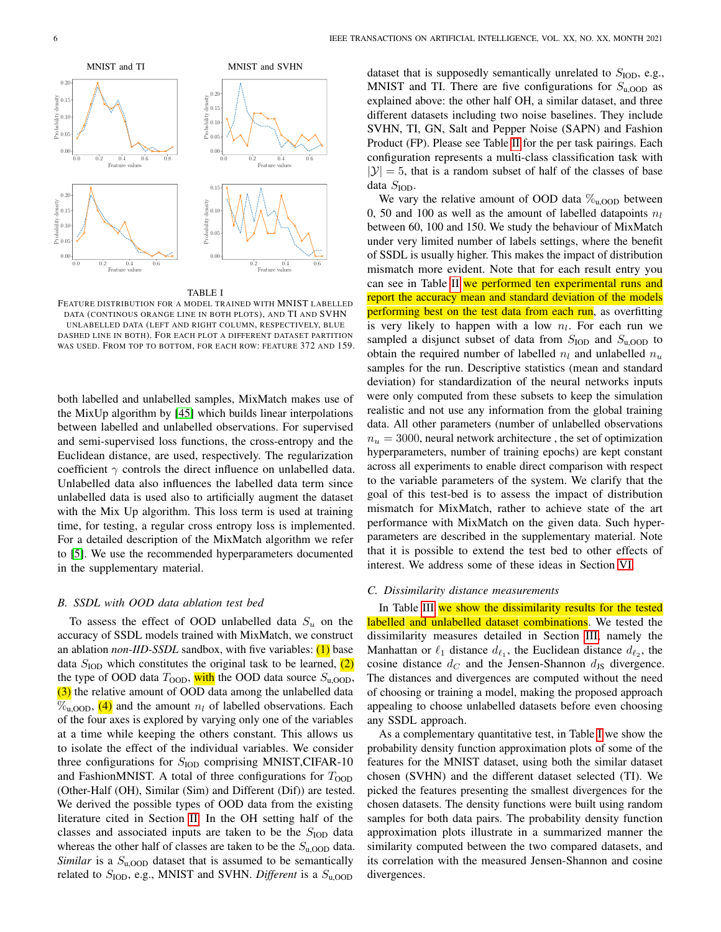

#### TABLE I

<span id="page-5-0"></span>FEATURE DISTRIBUTION FOR A MODEL TRAINED WITH MNIST LABELLED DATA (CONTINOUS ORANGE LINE IN BOTH PLOTS), AND TI AND SVHN UNLABELLED DATA (LEFT AND RIGHT COLUMN, RESPECTIVELY, BLUE DASHED LINE IN BOTH). FOR EACH PLOT A DIFFERENT DATASET PARTITION WAS USED. FROM TOP TO BOTTOM, FOR EACH ROW: FEATURE 372 AND 159.

both labelled and unlabelled samples, MixMatch makes use of the MixUp algorithm by [\[45\]](#page-9-38) which builds linear interpolations between labelled and unlabelled observations. For supervised and semi-supervised loss functions, the cross-entropy and the Euclidean distance, are used, respectively. The regularization coefficient  $\gamma$  controls the direct influence on unlabelled data. Unlabelled data also influences the labelled data term since unlabelled data is used also to artificially augment the dataset with the Mix Up algorithm. This loss term is used at training time, for testing, a regular cross entropy loss is implemented. For a detailed description of the MixMatch algorithm we refer to [\[5\]](#page-9-13). We use the recommended hyperparameters documented in the supplementary material.

## <span id="page-5-1"></span>*B. SSDL with OOD data ablation test bed*

To assess the effect of OOD unlabelled data  $S_u$  on the accuracy of SSDL models trained with MixMatch, we construct an ablation *non-IID-SSDL* sandbox, with five variables: (1) base data  $S<sub>IOD</sub>$  which constitutes the original task to be learned, (2) the type of OOD data  $T_{\text{OOD}}$ , with the OOD data source  $S_{\text{u,OOD}}$ , (3) the relative amount of OOD data among the unlabelled data  $\%$ <sub>u,OOD</sub>, (4) and the amount  $n_l$  of labelled observations. Each of the four axes is explored by varying only one of the variables at a time while keeping the others constant. This allows us to isolate the effect of the individual variables. We consider three configurations for  $S<sub>IOD</sub>$  comprising MNIST, CIFAR-10 and FashionMNIST. A total of three configurations for  $T_{\text{OOD}}$ (Other-Half (OH), Similar (Sim) and Different (Dif)) are tested. We derived the possible types of OOD data from the existing literature cited in Section [II.](#page-1-2) In the OH setting half of the classes and associated inputs are taken to be the  $S<sub>IOD</sub>$  data whereas the other half of classes are taken to be the  $S_{\text{u,OOD}}$  data. *Similar* is a  $S_{\text{u,OOD}}$  dataset that is assumed to be semantically related to  $S<sub>ION</sub>$ , e.g., MNIST and SVHN. *Different* is a  $S<sub>u.OOD</sub>$ 

dataset that is supposedly semantically unrelated to  $S<sub>IOD</sub>$ , e.g., MNIST and TI. There are five configurations for  $S_{\text{u,OOD}}$  as explained above: the other half OH, a similar dataset, and three different datasets including two noise baselines. They include SVHN, TI, GN, Salt and Pepper Noise (SAPN) and Fashion Product (FP). Please see Table [II](#page-6-0) for the per task pairings. Each configuration represents a multi-class classification task with  $|\mathcal{Y}| = 5$ , that is a random subset of half of the classes of base data  $S_{\text{IOD}}$ .

We vary the relative amount of OOD data  $\%_{u,OOD}$  between 0, 50 and 100 as well as the amount of labelled datapoints  $n_l$ between 60, 100 and 150. We study the behaviour of MixMatch under very limited number of labels settings, where the benefit of SSDL is usually higher. This makes the impact of distribution mismatch more evident. Note that for each result entry you can see in Table [II](#page-6-0) we performed ten experimental runs and report the accuracy mean and standard deviation of the models performing best on the test data from each run, as overfitting is very likely to happen with a low  $n_l$ . For each run we sampled a disjunct subset of data from  $S<sub>IOD</sub>$  and  $S<sub>u,OOD</sub>$  to obtain the required number of labelled  $n_l$  and unlabelled  $n_u$ samples for the run. Descriptive statistics (mean and standard deviation) for standardization of the neural networks inputs were only computed from these subsets to keep the simulation realistic and not use any information from the global training data. All other parameters (number of unlabelled observations  $n_u = 3000$ , neural network architecture, the set of optimization hyperparameters, number of training epochs) are kept constant across all experiments to enable direct comparison with respect to the variable parameters of the system. We clarify that the goal of this test-bed is to assess the impact of distribution mismatch for MixMatch, rather to achieve state of the art performance with MixMatch on the given data. Such hyperparameters are described in the supplementary material. Note that it is possible to extend the test bed to other effects of interest. We address some of these ideas in Section [VI.](#page-7-1)

## *C. Dissimilarity distance measurements*

In Table [III](#page-7-2) we show the dissimilarity results for the tested labelled and unlabelled dataset combinations. We tested the dissimilarity measures detailed in Section [III,](#page-3-0) namely the Manhattan or  $\ell_1$  distance  $d_{\ell_1}$ , the Euclidean distance  $d_{\ell_2}$ , the cosine distance  $d_C$  and the Jensen-Shannon  $d_{\text{JS}}$  divergence. The distances and divergences are computed without the need of choosing or training a model, making the proposed approach appealing to choose unlabelled datasets before even choosing any SSDL approach.

As a complementary quantitative test, in Table [I](#page-5-0) we show the probability density function approximation plots of some of the features for the MNIST dataset, using both the similar dataset chosen (SVHN) and the different dataset selected (TI). We picked the features presenting the smallest divergences for the chosen datasets. The density functions were built using random samples for both data pairs. The probability density function approximation plots illustrate in a summarized manner the similarity computed between the two compared datasets, and its correlation with the measured Jensen-Shannon and cosine divergences.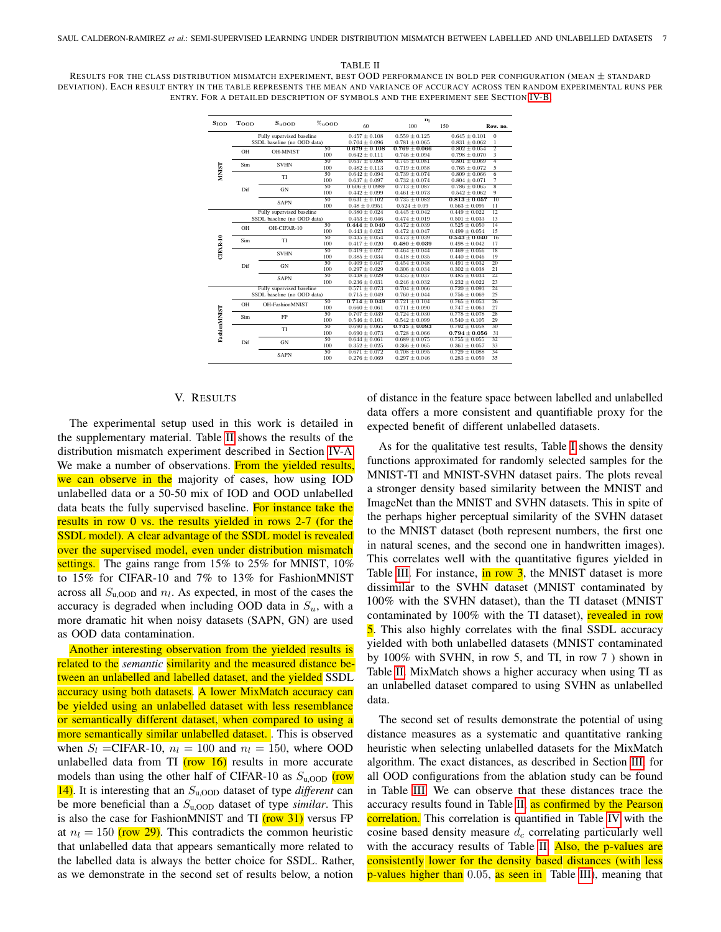#### TABLE II

<span id="page-6-0"></span>RESULTS FOR THE CLASS DISTRIBUTION MISMATCH EXPERIMENT, BEST OOD PERFORMANCE IN BOLD PER CONFIGURATION (MEAN  $\pm$  STANDARD DEVIATION). EACH RESULT ENTRY IN THE TABLE REPRESENTS THE MEAN AND VARIANCE OF ACCURACY ACROSS TEN RANDOM EXPERIMENTAL RUNS PER ENTRY. FOR A DETAILED DESCRIPTION OF SYMBOLS AND THE EXPERIMENT SEE SECTION [IV-B.](#page-5-1)

| $S_{\text{IOD}}$ | Toop                                                     | $S_{\text{uOOD}}$                                        | $\%$ <sub>u</sub> oon | 60                                      | n <sub>1</sub><br>100                  | 150                                    | Row. no.                 |
|------------------|----------------------------------------------------------|----------------------------------------------------------|-----------------------|-----------------------------------------|----------------------------------------|----------------------------------------|--------------------------|
| <b>NIST</b>      | Fully supervised baseline<br>SSDL baseline (no OOD data) |                                                          |                       | $0.457 \pm 0.108$<br>$0.704 \pm 0.096$  | $0.559 \pm 0.125$<br>$0.781 \pm 0.065$ | $0.645 \pm 0.101$<br>$0.831 \pm 0.062$ | $\mathbf{0}$<br>$\,1$    |
|                  | OH                                                       | <b>OH-MNIST</b>                                          | 50<br>100             | $0.679 \pm 0.108$<br>$0.642 \pm 0.111$  | $0.769 \pm 0.066$<br>$0.746 \pm 0.094$ | $0.802 \pm 0.054$<br>$0.798 \pm 0.070$ | $\overline{2}$<br>3      |
|                  | Sim                                                      | <b>SVHN</b>                                              | 50<br>100             | $0.637 \pm 0.098$<br>$0.482 \pm 0.113$  | $0.745 \pm 0.081$<br>$0.719 \pm 0.058$ | $0.801 \pm 0.069$<br>$0.765 \pm 0.072$ | 4<br>5                   |
|                  | Dif                                                      | TI                                                       | 50<br>100             | $0.642 \pm 0.094$<br>$0.637 \pm 0.097$  | $0.739 \pm 0.074$<br>$0.732 \pm 0.074$ | $0.809 \pm 0.066$<br>$0.804 \pm 0.071$ | $\overline{6}$<br>$\tau$ |
|                  |                                                          | <b>GN</b>                                                | 50<br>100             | $0.606 \pm 0.0989$<br>$0.442 \pm 0.099$ | $0.713 \pm 0.087$<br>$0.461 \pm 0.073$ | $0.786 \pm 0.065$<br>$0.542 \pm 0.062$ | $\overline{8}$<br>9      |
|                  |                                                          | <b>SAPN</b>                                              | 50<br>100             | $0.631 \pm 0.102$<br>$0.48 \pm 0.0951$  | $0.735 \pm 0.082$<br>$0.524 \pm 0.09$  | $0.813 \pm 0.057$<br>$0.563 \pm 0.095$ | $\overline{10}$<br>11    |
|                  |                                                          | Fully supervised baseline<br>SSDL baseline (no OOD data) |                       | $0.380 \pm 0.024$<br>$0.453 \pm 0.046$  | $0.445 \pm 0.042$<br>$0.474 \pm 0.019$ | $0.449 \pm 0.022$<br>$0.501 \pm 0.033$ | $\overline{12}$<br>13    |
|                  | OH                                                       | OH-CIFAR-10                                              | 50<br>100             | $0.444 \pm 0.040$<br>$0.443 \pm 0.023$  | $0.472 \pm 0.039$<br>$0.472 \pm 0.047$ | $0.525 \pm 0.050$<br>$0.499 \pm 0.054$ | 14<br>15                 |
| CIFAR-10         | Sim                                                      | TI                                                       | 50<br>100             | $0.435 \pm 0.054$<br>$0.417 \pm 0.020$  | $0.473 \pm 0.039$<br>$0.480 \pm 0.039$ | $0.543 \pm 0.040$<br>$0.498 \pm 0.042$ | 16<br>17                 |
|                  | Dif                                                      | <b>SVHN</b>                                              | 50<br>100             | $0.419 \pm 0.027$<br>$0.385 \pm 0.034$  | $0.464 \pm 0.044$<br>$0.418 \pm 0.035$ | $0.469 \pm 0.056$<br>$0.440 \pm 0.046$ | 18<br>19                 |
|                  |                                                          | <b>GN</b>                                                | 50<br>100             | $0.409 \pm 0.047$<br>$0.297 \pm 0.029$  | $0.454 \pm 0.048$<br>$0.306 \pm 0.034$ | $0.491 \pm 0.032$<br>$0.302 \pm 0.038$ | 20<br>21                 |
|                  |                                                          | <b>SAPN</b>                                              | 50<br>100             | $0.438 \pm 0.029$<br>$0.236 \pm 0.031$  | $0.455 \pm 0.037$<br>$0.246 \pm 0.032$ | $0.485 \pm 0.034$<br>$0.232 \pm 0.022$ | 22<br>23                 |
|                  | Fully supervised baseline<br>SSDL baseline (no OOD data) |                                                          |                       | $0.571 \pm 0.073$<br>$0.715 \pm 0.049$  | $0.704 \pm 0.066$<br>$0.760 \pm 0.044$ | $0.720 \pm 0.093$<br>$0.756 \pm 0.069$ | $\overline{24}$<br>25    |
|                  | OH                                                       | <b>OH-FashionMNIST</b>                                   | 50<br>100             | $0.714 \pm 0.049$<br>$0.660 \pm 0.061$  | $0.721 \pm 0.104$<br>$0.711 \pm 0.090$ | $0.765 \pm 0.053$<br>$0.747 \pm 0.061$ | 26<br>27                 |
|                  | Sim                                                      | FP                                                       | 50<br>100             | $0.707 \pm 0.039$<br>$0.546 \pm 0.101$  | $0.724 \pm 0.030$<br>$0.542 \pm 0.099$ | $0.778 \pm 0.078$<br>$0.540 \pm 0.105$ | 28<br>29                 |
| FashionMNIST     | Dif                                                      | TI                                                       | 50<br>100             | $0.690 \pm 0.065$<br>$0.690 \pm 0.073$  | $0.745 \pm 0.093$<br>$0.728 \pm 0.066$ | $0.792 \pm 0.058$<br>$0.794 \pm 0.056$ | 30<br>31                 |
|                  |                                                          | <b>GN</b>                                                | 50<br>100             | $0.644 \pm 0.061$<br>$0.352 \pm 0.025$  | $0.689 \pm 0.075$<br>$0.366 \pm 0.065$ | $0.755 \pm 0.055$<br>$0.361 \pm 0.057$ | 32<br>33                 |
|                  |                                                          | <b>SAPN</b>                                              | 50<br>100             | $0.671 \pm 0.072$<br>$0.276 \pm 0.069$  | $0.708 \pm 0.095$<br>$0.297 \pm 0.046$ | $0.729 \pm 0.088$<br>$0.283 \pm 0.059$ | 34<br>35                 |

## V. RESULTS

The experimental setup used in this work is detailed in the supplementary material. Table [II](#page-6-0) shows the results of the distribution mismatch experiment described in Section [IV-A.](#page-4-0) We make a number of observations. From the yielded results, we can observe in the majority of cases, how using IOD unlabelled data or a 50-50 mix of IOD and OOD unlabelled data beats the fully supervised baseline. For instance take the results in row 0 vs. the results yielded in rows 2-7 (for the SSDL model). A clear advantage of the SSDL model is revealed over the supervised model, even under distribution mismatch settings. The gains range from 15% to 25% for MNIST, 10% to 15% for CIFAR-10 and 7% to 13% for FashionMNIST across all  $S_{\text{u,OOD}}$  and  $n_l$ . As expected, in most of the cases the accuracy is degraded when including OOD data in  $S_u$ , with a more dramatic hit when noisy datasets (SAPN, GN) are used as OOD data contamination.

Another interesting observation from the yielded results is related to the *semantic* similarity and the measured distance between an unlabelled and labelled dataset, and the yielded SSDL accuracy using both datasets. A lower MixMatch accuracy can be yielded using an unlabelled dataset with less resemblance or semantically different dataset, when compared to using a more semantically similar unlabelled dataset. This is observed when  $S_l$  =CIFAR-10,  $n_l$  = 100 and  $n_l$  = 150, where OOD unlabelled data from TI  $(row 16)$  results in more accurate models than using the other half of CIFAR-10 as  $S_{\text{u,OOD}}$  (row 14). It is interesting that an Su,OOD dataset of type *different* can be more beneficial than a Su,OOD dataset of type *similar*. This is also the case for FashionMNIST and TI  $(row 31)$  versus FP at  $n_l = 150$  (row 29). This contradicts the common heuristic that unlabelled data that appears semantically more related to the labelled data is always the better choice for SSDL. Rather, as we demonstrate in the second set of results below, a notion

of distance in the feature space between labelled and unlabelled data offers a more consistent and quantifiable proxy for the expected benefit of different unlabelled datasets.

As for the qualitative test results, Table [I](#page-5-0) shows the density functions approximated for randomly selected samples for the MNIST-TI and MNIST-SVHN dataset pairs. The plots reveal a stronger density based similarity between the MNIST and ImageNet than the MNIST and SVHN datasets. This in spite of the perhaps higher perceptual similarity of the SVHN dataset to the MNIST dataset (both represent numbers, the first one in natural scenes, and the second one in handwritten images). This correlates well with the quantitative figures yielded in Table [III.](#page-7-2) For instance, in row 3, the MNIST dataset is more dissimilar to the SVHN dataset (MNIST contaminated by 100% with the SVHN dataset), than the TI dataset (MNIST contaminated by 100% with the TI dataset), revealed in row 5. This also highly correlates with the final SSDL accuracy yielded with both unlabelled datasets (MNIST contaminated by 100% with SVHN, in row 5, and TI, in row 7 ) shown in Table [II.](#page-6-0) MixMatch shows a higher accuracy when using TI as an unlabelled dataset compared to using SVHN as unlabelled data.

The second set of results demonstrate the potential of using distance measures as a systematic and quantitative ranking heuristic when selecting unlabelled datasets for the MixMatch algorithm. The exact distances, as described in Section [III,](#page-3-0) for all OOD configurations from the ablation study can be found in Table [III.](#page-7-2) We can observe that these distances trace the accuracy results found in Table [II,](#page-6-0) as confirmed by the Pearson correlation. This correlation is quantified in Table [IV](#page-7-0) with the cosine based density measure  $d_c$  correlating particularly well with the accuracy results of Table [II.](#page-6-0) Also, the p-values are consistently lower for the density based distances (with less p-values higher than 0.05, as seen in Table [III\)](#page-7-2), meaning that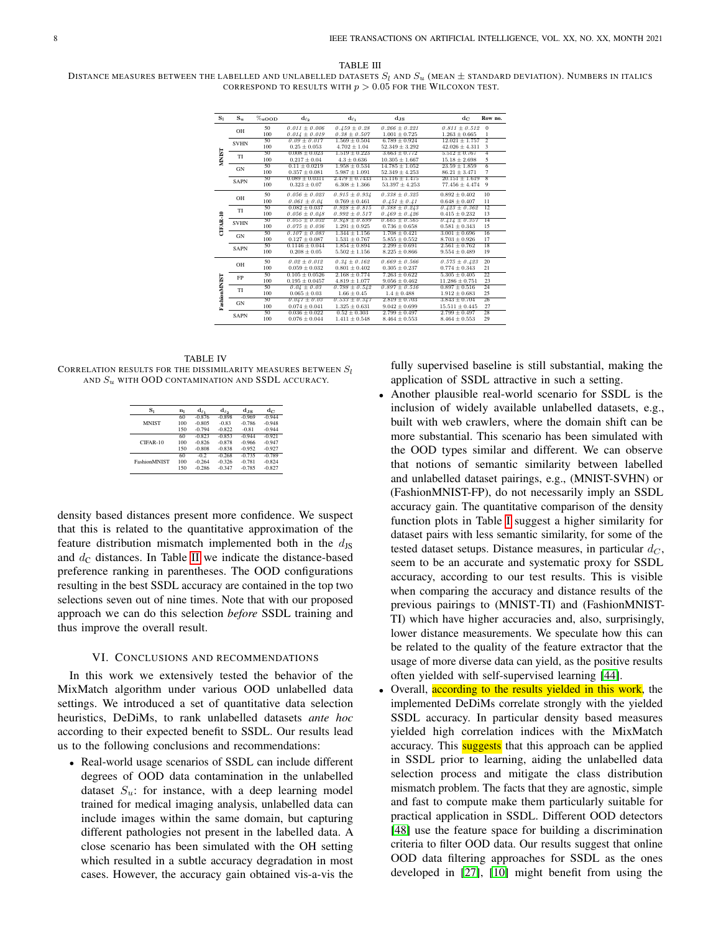#### TABLE III

<span id="page-7-2"></span>DISTANCE MEASURES BETWEEN THE LABELLED AND UNLABELLED DATASETS  $S_l$  and  $S_u$  (MEAN  $\pm$  STANDARD DEVIATION). NUMBERS IN ITALICS CORRESPOND TO RESULTS WITH  $p > 0.05$  FOR THE WILCOXON TEST.

| $S_1$                | $S_{u}$     | $\%$ uOOD | $d_{\ell_2}$       | $d_{\ell_1}$       | $d_{JS}$           | $d_{C}$            | Row no.         |
|----------------------|-------------|-----------|--------------------|--------------------|--------------------|--------------------|-----------------|
| <b>NIST</b>          | OH          | 50        | $0.011 \pm 0.006$  | $0.459 \pm 0.28$   | $0.266 \pm 0.221$  | $0.811 \pm 0.512$  | $\mathbf{0}$    |
|                      |             | 100       | $0.014 \pm 0.019$  | $0.38 \pm 0.507$   | $1.001 \pm 0.725$  | $1.263 \pm 0.665$  | 1               |
|                      | <b>SVHN</b> | 50        | $0.09 \pm 0.017$   | $1.569 \pm 0.504$  | $6.789 \pm 0.924$  | $12.021 \pm 1.757$ | $\overline{2}$  |
|                      |             | 100       | $0.25 \pm 0.053$   | $4.702 \pm 1.04$   | $52.349 \pm 3.292$ | $42.026 \pm 4.311$ | 3               |
|                      | TI          | 50        | $0.008 \pm 0.023$  | $1.519 \pm 0.223$  | $3.663 \pm 0.772$  | $5.512 \pm 0.767$  | $\overline{4}$  |
|                      |             | 100       | $0.217 \pm 0.04$   | $4.3 \pm 0.636$    | $10.305 \pm 1.667$ | $15.18 \pm 2.698$  | 5               |
|                      | <b>GN</b>   | 50        | $0.11 \pm 0.0219$  | $1.958 \pm 0.534$  | $14.785 \pm 1.052$ | $23.59 \pm 1.859$  | $\overline{6}$  |
|                      |             | 100       | $0.357 \pm 0.081$  | $5.987 \pm 1.091$  | $52.349 \pm 4.253$ | $86.21 \pm 3.471$  | 7               |
|                      | <b>SAPN</b> | 50        | $0.089 \pm 0.0311$ | $2.479 \pm 0.7433$ | $15.116 \pm 1.475$ | $20.151 \pm 1.619$ | $\overline{8}$  |
|                      |             | 100       | $0.323 \pm 0.07$   | $6.308 \pm 1.366$  | $53.397 \pm 4.253$ | $77.456 \pm 4.474$ | $\overline{9}$  |
| CIFAR-10             | OH          | 50        | $0.056 \pm 0.023$  | $0.915 \pm 0.934$  | $0.338 \pm 0.325$  | $0.892 \pm 0.402$  | 10              |
|                      |             | 100       | $0.061 \pm 0.04$   | $0.769 \pm 0.461$  | $0.451 \pm 0.41$   | $0.648 \pm 0.407$  | 11              |
|                      | TI          | 50        | $0.082 \pm 0.037$  | $0.928 \pm 0.815$  | $0.388 \pm 0.243$  | $0.423 \pm 0.362$  | $\overline{12}$ |
|                      |             | 100       | $0.056 \pm 0.048$  | $0.992 \pm 0.517$  | $0.469 \pm 0.426$  | $0.415 \pm 0.232$  | 13              |
|                      | <b>SVHN</b> | 50        | $0.055 \pm 0.032$  | $0.948 \pm 0.699$  | $0.665 \pm 0.565$  | $0.414 \pm 0.357$  | $\overline{14}$ |
|                      |             | 100       | $0.075 \pm 0.036$  | $1.291 \pm 0.925$  | $0.736 \pm 0.658$  | $0.581 \pm 0.343$  | 15              |
|                      | <b>GN</b>   | 50        | $0.107 \pm 0.083$  | $1.344 \pm 1.156$  | $1.708 \pm 0.421$  | $3.001 \pm 0.696$  | 16              |
|                      |             | 100       | $0.127 \pm 0.087$  | $1.531 \pm 0.767$  | $5.855 \pm 0.552$  | $8.703 \pm 0.926$  | 17              |
|                      | <b>SAPN</b> | 50        | $0.1146 \pm 0.044$ | $1.854 \pm 0.894$  | $2.299 \pm 0.691$  | $2.561 \pm 0.762$  | 18              |
|                      |             | 100       | $0.208 \pm 0.05$   | $5.502 \pm 1.156$  | $8.225 \pm 0.866$  | $9.554 \pm 0.489$  | 19              |
| <b>Fashion MNIST</b> | OH          | 50        | $0.02 \pm 0.012$   | $0.34 \pm 0.162$   | $0.669 \pm 0.566$  | $0.575 \pm 0.423$  | 20              |
|                      |             | 100       | $0.059 \pm 0.032$  | $0.801 \pm 0.402$  | $0.305 \pm 0.237$  | $0.774 \pm 0.343$  | 21              |
|                      | FP          | 50        | $0.105 \pm 0.0526$ | $2.168 \pm 0.774$  | $7.263 \pm 0.622$  | $5.305 \pm 0.405$  | 22              |
|                      |             | 100       | $0.195 \pm 0.0457$ | $4.819 \pm 1.077$  | $9.056 \pm 0.462$  | $11.286 \pm 0.751$ | 23              |
|                      | TI          | 50        | $0.04 \pm 0.03$    | $0.798 \pm 0.542$  | $0.897 \pm 0.516$  | $0.897 \pm 0.516$  | $\overline{24}$ |
|                      |             | 100       | $0.065 \pm 0.03$   | $1.66 \pm 0.45$    | $1.4 \pm 0.488$    | $1.912 \pm 0.683$  | 25              |
|                      | <b>GN</b>   | 50        | $0.047 \pm 0.03$   | $0.533 \pm 0.347$  | $2.819 \pm 0.703$  | $3.843 \pm 0.704$  | 26              |
|                      |             | 100       | $0.074 \pm 0.041$  | $1.325 \pm 0.631$  | $9.042 \pm 0.699$  | $15.511 \pm 0.445$ | 27              |
|                      | <b>SAPN</b> | 50        | $0.036 \pm 0.022$  | $0.52 \pm 0.303$   | $2.799 \pm 0.497$  | $2.799 \pm 0.497$  | 28              |
|                      |             | 100       | $0.076 \pm 0.044$  | $1.411 \pm 0.548$  | $8.464 \pm 0.553$  | $8.464 \pm 0.553$  | 29              |

<span id="page-7-0"></span>TABLE IV CORRELATION RESULTS FOR THE DISSIMILARITY MEASURES BETWEEN  $S_l$ AND  $S_u$  with OOD CONTAMINATION AND SSDL ACCURACY.

| $S_1$               | n <sub>l</sub> | $d_{\ell}$ | $d_{\ell_n}$ | d.ıs     | de       |
|---------------------|----------------|------------|--------------|----------|----------|
|                     | 60             | $-0.876$   | $-0.898$     | $-0.969$ | $-0.944$ |
| <b>MNIST</b>        | 100            | $-0.805$   | $-0.83$      | $-0.786$ | $-0.948$ |
|                     | 150            | $-0.794$   | $-0.822$     | $-0.81$  | $-0.944$ |
|                     | 60             | $-0.823$   | $-0.853$     | $-0.944$ | $-0.921$ |
| $CIFAR-10$          | 100            | $-0.826$   | $-0.878$     | $-0.966$ | $-0.947$ |
|                     | 150            | $-0.808$   | $-0.838$     | $-0.952$ | $-0.927$ |
|                     | 60             | $-0.2$     | $-0.268$     | $-0.735$ | $-0.789$ |
| <b>FashionMNIST</b> | 100            | $-0.264$   | $-0.326$     | $-0.781$ | $-0.824$ |
|                     | 150            | $-0.286$   | $-0.347$     | $-0.785$ | $-0.827$ |

density based distances present more confidence. We suspect that this is related to the quantitative approximation of the feature distribution mismatch implemented both in the  $d_{\text{JS}}$ and  $d_{\rm C}$  distances. In Table [II](#page-6-0) we indicate the distance-based preference ranking in parentheses. The OOD configurations resulting in the best SSDL accuracy are contained in the top two selections seven out of nine times. Note that with our proposed approach we can do this selection *before* SSDL training and thus improve the overall result.

#### VI. CONCLUSIONS AND RECOMMENDATIONS

<span id="page-7-1"></span>In this work we extensively tested the behavior of the MixMatch algorithm under various OOD unlabelled data settings. We introduced a set of quantitative data selection heuristics, DeDiMs, to rank unlabelled datasets *ante hoc* according to their expected benefit to SSDL. Our results lead us to the following conclusions and recommendations:

• Real-world usage scenarios of SSDL can include different degrees of OOD data contamination in the unlabelled dataset  $S_u$ : for instance, with a deep learning model trained for medical imaging analysis, unlabelled data can include images within the same domain, but capturing different pathologies not present in the labelled data. A close scenario has been simulated with the OH setting which resulted in a subtle accuracy degradation in most cases. However, the accuracy gain obtained vis-a-vis the

fully supervised baseline is still substantial, making the application of SSDL attractive in such a setting.

- Another plausible real-world scenario for SSDL is the inclusion of widely available unlabelled datasets, e.g., built with web crawlers, where the domain shift can be more substantial. This scenario has been simulated with the OOD types similar and different. We can observe that notions of semantic similarity between labelled and unlabelled dataset pairings, e.g., (MNIST-SVHN) or (FashionMNIST-FP), do not necessarily imply an SSDL accuracy gain. The quantitative comparison of the density function plots in Table [I](#page-5-0) suggest a higher similarity for dataset pairs with less semantic similarity, for some of the tested dataset setups. Distance measures, in particular  $d_C$ , seem to be an accurate and systematic proxy for SSDL accuracy, according to our test results. This is visible when comparing the accuracy and distance results of the previous pairings to (MNIST-TI) and (FashionMNIST-TI) which have higher accuracies and, also, surprisingly, lower distance measurements. We speculate how this can be related to the quality of the feature extractor that the usage of more diverse data can yield, as the positive results often yielded with self-supervised learning [\[44\]](#page-9-39).
- Overall, according to the results yielded in this work, the implemented DeDiMs correlate strongly with the yielded SSDL accuracy. In particular density based measures yielded high correlation indices with the MixMatch accuracy. This **suggests** that this approach can be applied in SSDL prior to learning, aiding the unlabelled data selection process and mitigate the class distribution mismatch problem. The facts that they are agnostic, simple and fast to compute make them particularly suitable for practical application in SSDL. Different OOD detectors [\[48\]](#page-9-9) use the feature space for building a discrimination criteria to filter OOD data. Our results suggest that online OOD data filtering approaches for SSDL as the ones developed in [\[27\]](#page-9-27), [\[10\]](#page-9-28) might benefit from using the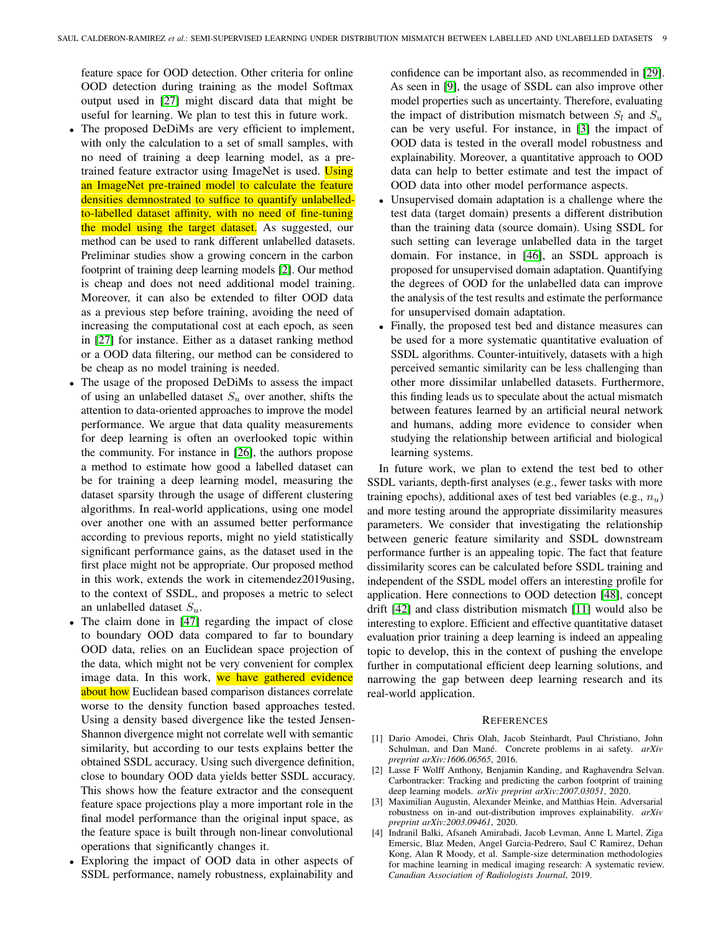feature space for OOD detection. Other criteria for online OOD detection during training as the model Softmax output used in [\[27\]](#page-9-27) might discard data that might be useful for learning. We plan to test this in future work.

- The proposed DeDiMs are very efficient to implement, with only the calculation to a set of small samples, with no need of training a deep learning model, as a pretrained feature extractor using ImageNet is used. Using an ImageNet pre-trained model to calculate the feature densities demnostrated to suffice to quantify unlabelledto-labelled dataset affinity, with no need of fine-tuning the model using the target dataset. As suggested, our method can be used to rank different unlabelled datasets. Preliminar studies show a growing concern in the carbon footprint of training deep learning models [\[2\]](#page-8-2). Our method is cheap and does not need additional model training. Moreover, it can also be extended to filter OOD data as a previous step before training, avoiding the need of increasing the computational cost at each epoch, as seen in [\[27\]](#page-9-27) for instance. Either as a dataset ranking method or a OOD data filtering, our method can be considered to be cheap as no model training is needed.
- The usage of the proposed DeDiMs to assess the impact of using an unlabelled dataset  $S_u$  over another, shifts the attention to data-oriented approaches to improve the model performance. We argue that data quality measurements for deep learning is often an overlooked topic within the community. For instance in [\[26\]](#page-9-40), the authors propose a method to estimate how good a labelled dataset can be for training a deep learning model, measuring the dataset sparsity through the usage of different clustering algorithms. In real-world applications, using one model over another one with an assumed better performance according to previous reports, might no yield statistically significant performance gains, as the dataset used in the first place might not be appropriate. Our proposed method in this work, extends the work in citemendez2019using, to the context of SSDL, and proposes a metric to select an unlabelled dataset  $S_u$ .
- The claim done in [\[47\]](#page-9-29) regarding the impact of close to boundary OOD data compared to far to boundary OOD data, relies on an Euclidean space projection of the data, which might not be very convenient for complex image data. In this work, we have gathered evidence about how Euclidean based comparison distances correlate worse to the density function based approaches tested. Using a density based divergence like the tested Jensen-Shannon divergence might not correlate well with semantic similarity, but according to our tests explains better the obtained SSDL accuracy. Using such divergence definition, close to boundary OOD data yields better SSDL accuracy. This shows how the feature extractor and the consequent feature space projections play a more important role in the final model performance than the original input space, as the feature space is built through non-linear convolutional operations that significantly changes it.
- Exploring the impact of OOD data in other aspects of SSDL performance, namely robustness, explainability and

confidence can be important also, as recommended in [\[29\]](#page-9-41). As seen in [\[9\]](#page-9-42), the usage of SSDL can also improve other model properties such as uncertainty. Therefore, evaluating the impact of distribution mismatch between  $S_l$  and  $S_u$ can be very useful. For instance, in [\[3\]](#page-8-3) the impact of OOD data is tested in the overall model robustness and explainability. Moreover, a quantitative approach to OOD data can help to better estimate and test the impact of OOD data into other model performance aspects.

- Unsupervised domain adaptation is a challenge where the test data (target domain) presents a different distribution than the training data (source domain). Using SSDL for such setting can leverage unlabelled data in the target domain. For instance, in [\[46\]](#page-9-10), an SSDL approach is proposed for unsupervised domain adaptation. Quantifying the degrees of OOD for the unlabelled data can improve the analysis of the test results and estimate the performance for unsupervised domain adaptation.
- Finally, the proposed test bed and distance measures can be used for a more systematic quantitative evaluation of SSDL algorithms. Counter-intuitively, datasets with a high perceived semantic similarity can be less challenging than other more dissimilar unlabelled datasets. Furthermore, this finding leads us to speculate about the actual mismatch between features learned by an artificial neural network and humans, adding more evidence to consider when studying the relationship between artificial and biological learning systems.

In future work, we plan to extend the test bed to other SSDL variants, depth-first analyses (e.g., fewer tasks with more training epochs), additional axes of test bed variables (e.g.,  $n_u$ ) and more testing around the appropriate dissimilarity measures parameters. We consider that investigating the relationship between generic feature similarity and SSDL downstream performance further is an appealing topic. The fact that feature dissimilarity scores can be calculated before SSDL training and independent of the SSDL model offers an interesting profile for application. Here connections to OOD detection [\[48\]](#page-9-9), concept drift [\[42\]](#page-9-43) and class distribution mismatch [\[11\]](#page-9-30) would also be interesting to explore. Efficient and effective quantitative dataset evaluation prior training a deep learning is indeed an appealing topic to develop, this in the context of pushing the envelope further in computational efficient deep learning solutions, and narrowing the gap between deep learning research and its real-world application.

#### **REFERENCES**

- <span id="page-8-1"></span>[1] Dario Amodei, Chris Olah, Jacob Steinhardt, Paul Christiano, John Schulman, and Dan Mané. Concrete problems in ai safety. *arXiv preprint arXiv:1606.06565*, 2016.
- <span id="page-8-2"></span>[2] Lasse F Wolff Anthony, Benjamin Kanding, and Raghavendra Selvan. Carbontracker: Tracking and predicting the carbon footprint of training deep learning models. *arXiv preprint arXiv:2007.03051*, 2020.
- <span id="page-8-3"></span>[3] Maximilian Augustin, Alexander Meinke, and Matthias Hein. Adversarial robustness on in-and out-distribution improves explainability. *arXiv preprint arXiv:2003.09461*, 2020.
- <span id="page-8-0"></span>[4] Indranil Balki, Afsaneh Amirabadi, Jacob Levman, Anne L Martel, Ziga Emersic, Blaz Meden, Angel Garcia-Pedrero, Saul C Ramirez, Dehan Kong, Alan R Moody, et al. Sample-size determination methodologies for machine learning in medical imaging research: A systematic review. *Canadian Association of Radiologists Journal*, 2019.